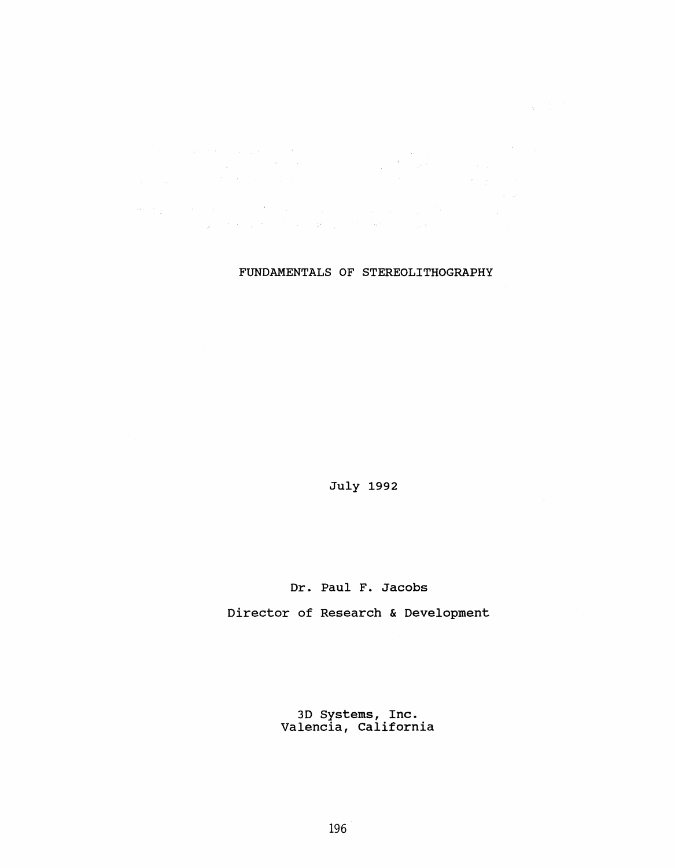$\mathcal{O}(\mathcal{O}(\log n))$  $\label{eq:R1} \begin{split} \mathcal{B}^{\mu\nu}_{\mu\nu}(\xi) &= -\frac{1}{2} \int_{\mathbb{R}^3} \left( \frac{1}{2} \left( \frac{1}{2} \left( \frac{1}{2} \right) \right) \left( \frac{1}{2} \left( \frac{1}{2} \right) \right) \right) \left( \frac{1}{2} \left( \frac{1}{2} \right) \right) \left( \frac{1}{2} \left( \frac{1}{2} \right) \right) \left( \frac{1}{2} \left( \frac{1}{2} \right) \right) \left( \frac{1}{2} \left( \frac{1}{2} \right)$  $\sim 10^{-11}$ 

# FUNDAMENTALS OF STEREOLITHOGRAPHY

July 1992

# Dr. Paul F. Jacobs

Director of Research & Development

3D Systems, Inc. Valencia, California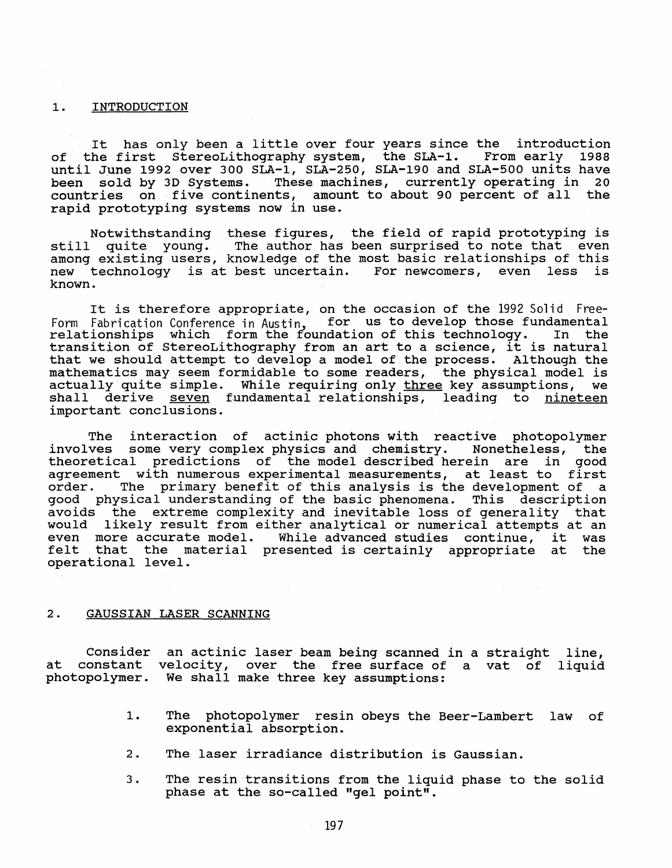### 1. INTRODUCTION

It has only been <sup>a</sup> little over four years since the introduction of the first StereoLithography system, the SLA-1. From early 1988 until June 1992 over 300 SLA-1, SLA-250, SLA-190 and SLA-500 units have been sold by 3D Systems. These machines, currently operating in 20 countries on five continents, amount to about <sup>90</sup> percent of all the rapid prototyping systems now in use.

Notwithstanding these figures, the field of rapid prototyping is<br>still quite young. The author has been surprised to note that even The author has been surprised to note that even among existing users, knowledge of the most basic relationships of this<br>new technology is at best uncertain. For newcomers, even less is new technology is at best uncertain. known.

It is therefore appropriate, on the occasion of the 1992 Solid Free-Form Fabrication Conference in Austin, for us to develop those fundamental<br>relationships which form the foundation of this technology. In the relationships which form the foundation of this technology. transition of StereoLithography from an art to <sup>a</sup> science, it is natural that we should attempt to develop a model of the process. Although the mathematics may seem formidable to some readers, the physical model is actually quite simple. While requiring only three key assumptions, we shall derive seven fundamental relationships, leading to nineteen important conclusions.

The interaction of actinic photons with reactive photopolymer<br>involves some very complex physics and chemistry. Nonetheless, the some very complex physics and chemistry. theoretical predictions of the model described herein are in good agreement with numerous experimental measurements, at least to first<br>order. The primary benefit of this analysis is the development of a The primary benefit of this analysis is the development of a good physical understanding of the basic phenomena. This description avoids the extreme complexity and inevitable loss of generality that would likely result from either analytical or numerical attempts at an even more accurate model. While advanced studies continue, it was felt that the material presented is certainly appropriate at the operational level.

## 2. GAUSSIAN LASER SCANNING

Consider at constant velocity, over the free surface of a vat of liquid photopolymer. an actinic laser beam being scanned in a straight line, We shall make three key assumptions:

- 1. The photopolymer resin obeys the Beer-Lambert law of exponential absorption.
- 2. The laser irradiance distribution is Gaussian.
- 3. The resin transitions from the liquid phase to the solid phase at the so-called "gel point".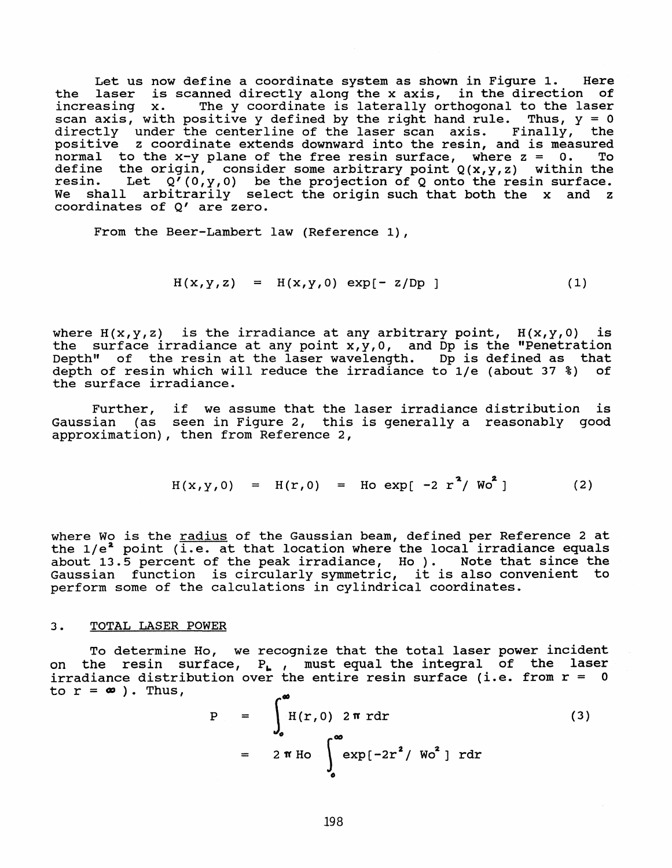Let us now define a coordinate system as shown *in* Figure 1. Here the laser *is* scanned directly along the <sup>x</sup> axis, in the direction of increasing x. The y coordinate is laterally orthogonal to the laser increasing  $x$ . The y coordinate is laterally orthogonal to the laser scan axis, with positive y defined by the right hand rule. Thus,  $y = 0$ boun ants, with positive  $\frac{1}{2}$  defined by the right hand rafe. That,  $\frac{1}{2}$  of directly under the centerline of the laser scan axis. Finally, the positive <sup>z</sup> coordinate extends downward into the resin, and *is* measured positive s coordinate chochas downmard file the resin, and is measured<br>normal to the x-y plane of the free resin surface, where z = 0. To define the origin, consider some arbitrary point Q(x,y,z) within the resin. Let  $Q^7(0,y,0)$  be the projection of Q onto the resin surface.<br>We shall arbitrarily select the origin such that both the x and z shall arbitrarily select the origin such that both the x and z coordinates of Q' are zero.

From the Beer-Lambert law (Reference 1),

$$
H(x,y,z) = H(x,y,0) \exp[-z/Dp]
$$
 (1)

where  $H(x,y,z)$  is the irradiance at any arbitrary point,  $H(x,y,0)$  is the surface irradiance at any point  $x,y,0$ , and Dp is the "Penetration Depth" of the resin at the laser wavelength. Dp is defined as that depth of resin which will reduce the irradiance to *lIe* (about 37 %) of the surface irradiance.

Further, if we assume that the laser irradiance distribution is Gaussian (as seen in Figure 2, this is generally <sup>a</sup> reasonably good approximation), then from Reference 2,

$$
H(x,y,0) = H(r,0) = Ho \exp[-2 r2/ Wo2]
$$
 (2)

where Wo is the radius of the Gaussian beam, defined per Reference 2 at where wo is the <u>faulus</u> of the saussian beam, defined per Reference 2 de about 13.5 percent of the peak irradiance, Ho). Note that since the about 13.5 percent or the peak irradiance, ho ). Wote that since the<br>Gaussian function is circularly symmetric, it is also convenient to perform some of the calculations in cylindrical coordinates.

### 3. TOTAL LASER POWER

To determine Ho, we recognize that the total laser power incident on the resin surface, P<sub>1</sub>, must equal the integral of the laser<br>irradiance distribution over the entire resin surface (i.e. from r = 0 to  $r = \infty$ ). Thus,

$$
P = \int_{0}^{\infty} H(r, 0) 2 \pi r dr
$$
\n
$$
= 2 \pi H \left[ \int_{0}^{\infty} exp[-2r^{2} / W_{0}^{2}] r dr \right]
$$
\n(3)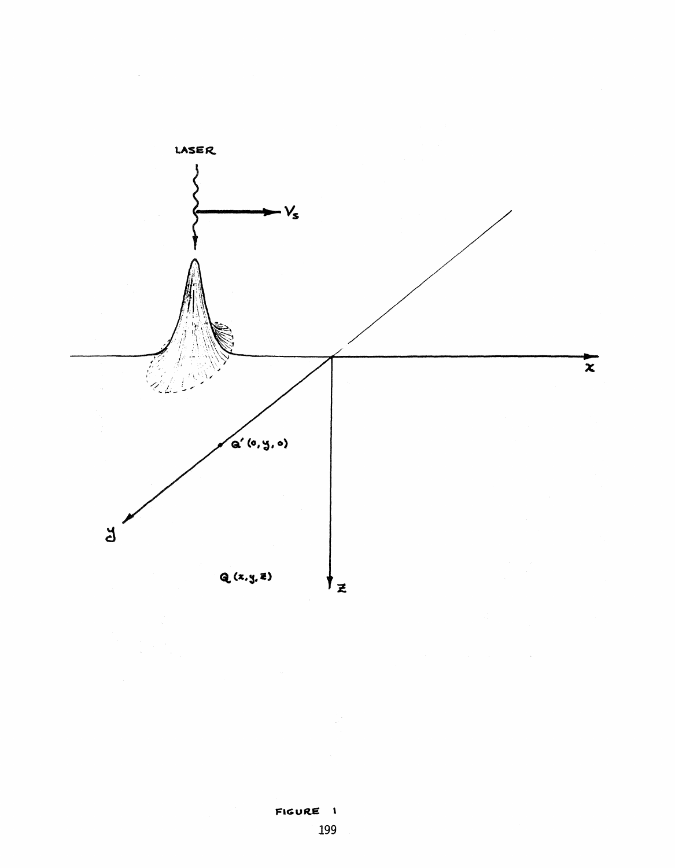

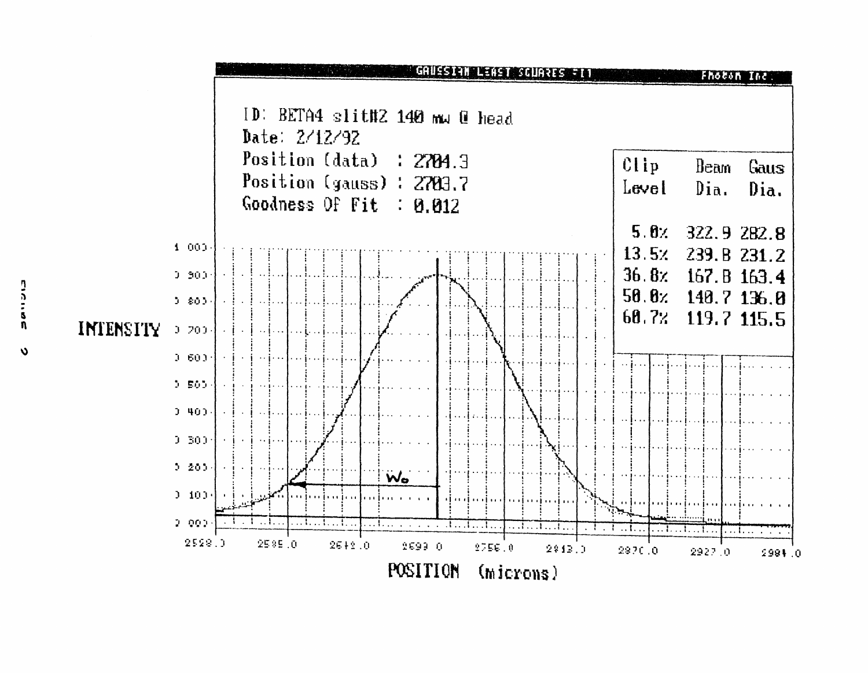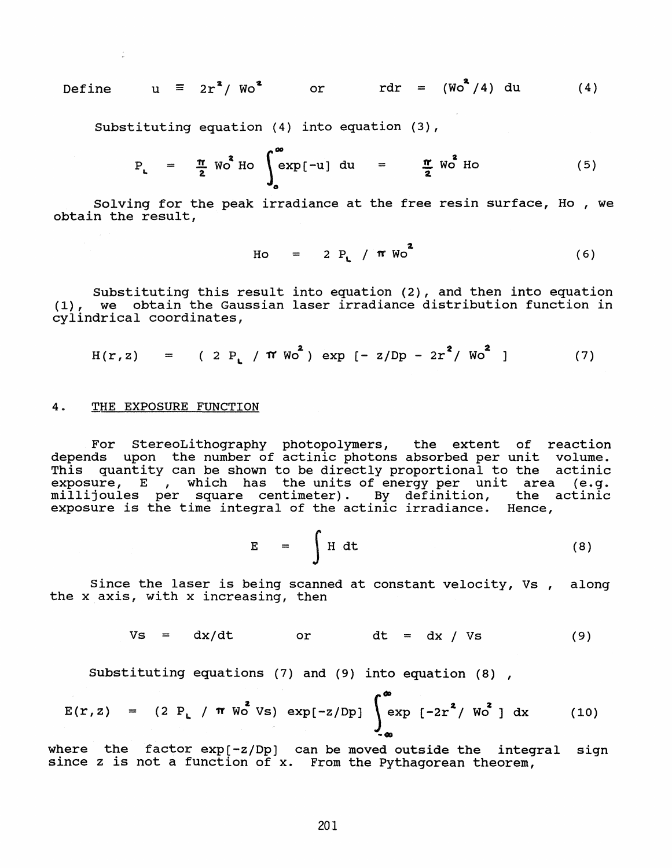Define 
$$
u \equiv 2r^2 / Wo^2
$$
 or  $rdr = (Wo^2/4) du$  (4)

Substituting equation (4) into equation (3),

$$
P_{L} = \frac{\pi}{2} W_0^4 H_0 \int_{0}^{\infty} exp[-u] du = \frac{\pi}{2} W_0^2 H_0
$$
 (5)

Solving for the peak irradiance at the free resin surface, Ho , we obtain the result,

$$
Ho = 2 P_L / \pi W_0^2
$$
 (6)

Substituting this result into equation (2), and then into equation (1), we obtain the Gaussian laser irradiance distribution function in cylindrical coordinates,

$$
H(r, z) = (2 P_L / \pi W_0^2) \exp [-z/Dp - 2r^2 / W_0^2]
$$
 (7)

### 4. THE EXPOSURE FUNCTION

For StereoLithography photopolymers, the extent of reaction depends upon the number of actinic photons absorbed per unit volume. This quantity can be shown to be directly proportional to the actinic exposure, E, which has the units of energy per unit area (e.g. millijoules per square centimeter). By definition, the actinic exposure is the time integral of the actinic irradiance. Hence,

$$
E = \int H dt
$$
 (8)

Since the laser is being scanned at constant velocity, Vs, along the x axis, with x increasing, then

$$
Vs = dx/dt \qquad or \qquad dt = dx / Vs \qquad (9)
$$

SUbstituting equations (7) and (9) into equation (8) ,

$$
E(r, z) = (2 P_L / \pi W_0^2 V s) \exp[-z/Dp] \int_{-\infty}^{\infty} exp[-2r^2 / W_0^2] dx
$$
 (10)

where the factor  $exp[-z/Dp]$  can be moved outside the integral sign since <sup>z</sup> is not <sup>a</sup> function of x. From the Pythagorean theorem,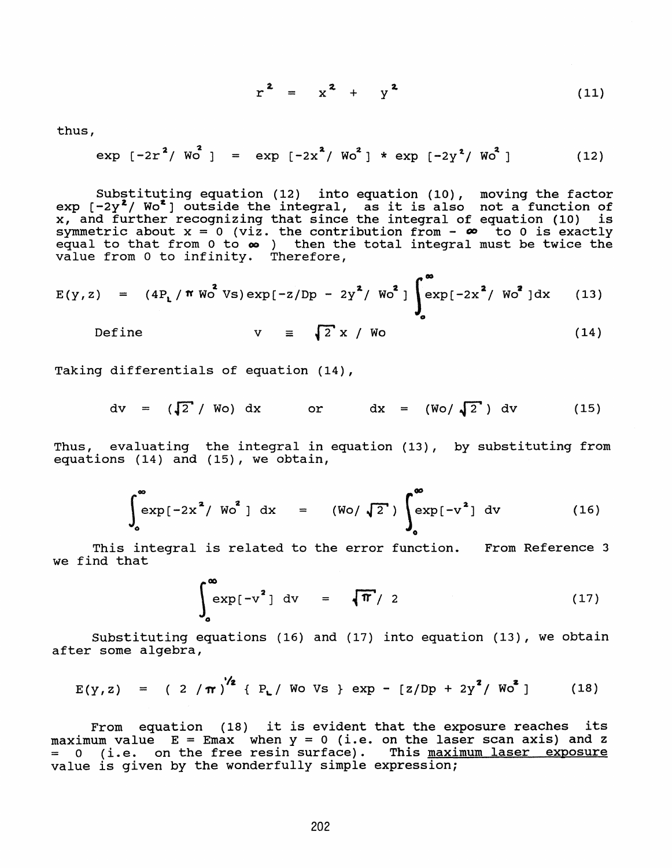$$
r^2 = x^2 + y^2 \tag{11}
$$

thus,

$$
\exp\left[-2r^2 / W_0^2\right] = \exp\left[-2x^2 / W_0^2\right] * \exp\left[-2y^2 / W_0^2\right] \tag{12}
$$

SUbstituting equation (12) into equation (10), moving the factor substituting equation (12) into equation (10), moving the factor<br>exp  $[-2y^2/$  Wo<sup>2</sup> ] outside the integral, as it is also not a function of  $x_r$  and further recognizing that since the integral of equation (10) is symmetric about  $x = 0$  (viz. the contribution from  $-\infty$  to 0 is exactly  $\frac{1}{2}$  functive divide  $x = 3$ ,  $\frac{1}{2}$ , the contribution from  $\frac{1}{2}$  to  $\frac{1}{2}$  calculy value from <sup>0</sup> to infinity. Therefore,

$$
E(y, z) = (4PL/\pi WO2 Vs) exp[-z/Dp - 2y2/WO2] \int_{0}^{\infty} exp[-2x2/WO2] dx
$$
 (13)

Define 
$$
v = \sqrt{2}x / W_0
$$
 (14)

Taking differentials of equation (14),

$$
dv = (\sqrt{2} / Wo) dx
$$
 or  $dx = (Wo/\sqrt{2}) dv$  (15)

Thus, evaluating the integral in equation (13), by substituting from equations (14) and (15), we obtain,

$$
\int_{0}^{\infty} \exp[-2x^{2} / W_{0}^{2}] dx = (W_{0} / \sqrt{2}) \int_{0}^{\infty} \exp[-v^{2}] dv
$$
 (16)

This integral is related to the error function. From Reference 3 we find that

$$
\int_{0}^{\infty} \exp[-v^{2}] dv = \sqrt{\pi}/2
$$
 (17)

SUbstituting equations (16) and (17) into equation (13), we obtain after some algebra,

$$
E(y, z) = (2/\pi)^{1/2} {P_L / W_0 V_S} \exp - [z/Dp + 2y^2 / W_0^2]
$$
 (18)

From equation (18) it is evident that the exposure reaches its<br>maximum value  $E = Emax$  when  $y = 0$  (i.e. on the laser scan axis) and z = 0 (i.e. on the free resin surface). This maximum laser exposure value is given by the wonderfully simple expression;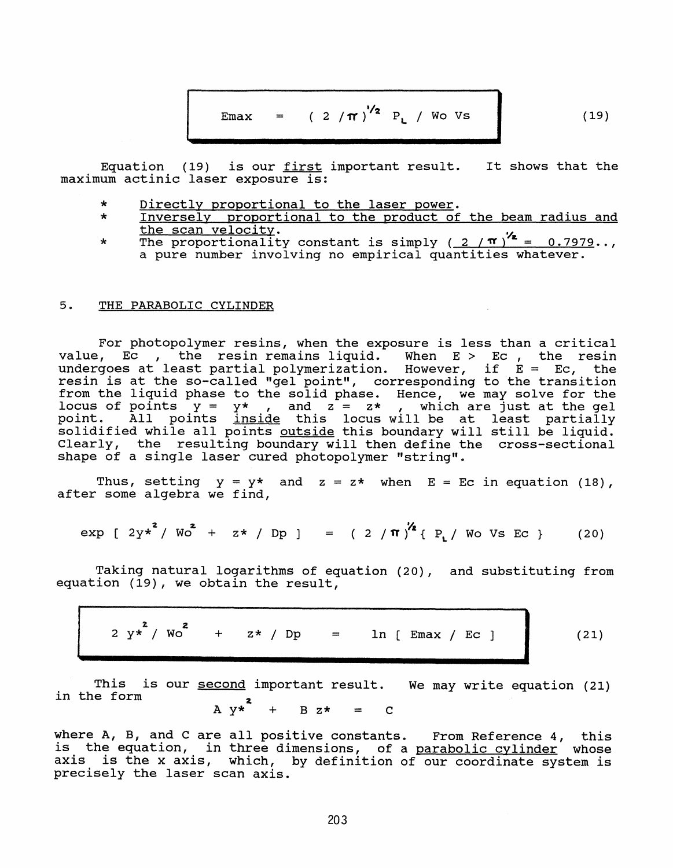$$
Emax = (2/\pi)^{1/2} P_L / WoVs
$$
 (19)

Equation (19) is our <u>first</u> important result. It shows that the maximum actinic laser exposure is:

- \* Directly proportional to the laser power.<br>\* Inversely proportional to the product of
- Inversely proportional to the product of the beam radius and the scan velocity.
- \* The proportionality constant is simply  $(2/\pi)^{1/2} = 0.7979...$ , a pure number involving no empirical quantities whatever.

# 5. THE PARABOLIC CYLINDER

For photopolymer resins, when the exposure is less than <sup>a</sup> critical value, Ec , the resin remains liquid. When E > Ec, the resin value, Ec , the resin remains liquid. When E , Ec , the resin<br>undergoes at least partial polymerization. However, if E = Ec, the resin is at the so-called "gel point", corresponding to the transition from the liquid phase to the solid phase. Hence, we may solve for the locus of points  $y = y^*$ , and  $z = z^*$ , which are just at the gel point. All points inside this locus will be at least partially solidified while all points outside this boundary will still be liquid. Clearly, the resulting boundary will then define the cross-sectional shape of a single laser cured photopolymer "string".

Thus, setting  $y = y*$  and  $z = z*$  when  $E = Ec$  in equation (18), after some algebra we find,

$$
\exp \left[ 2y^2 / W_0^2 + z^2 / Dp \right] = (2/\pi)^{2/2} \left\{ P_L / W_0 \text{ Vs Ec } \right\}
$$
 (20)

Taking natural logarithms of equation (20), and SUbstituting from equation (19), we obtain the result,

$$
2 y*^{2} / W_{0}^{2} + z* / Dp = \ln [\text{Emax } / \text{Ec } ]
$$
\nThis is our second important result. We may write equation (21)

in the form  $A \, y*^2 + B \, z* = C$ 

where A, B, and <sup>C</sup> are all positive constants. From Reference 4, this is the equation, in three dimensions, of <sup>a</sup> parabolic cylinder whose axis is the <sup>x</sup> axis, which, by definition of our coordinate system is precisely the laser scan axis.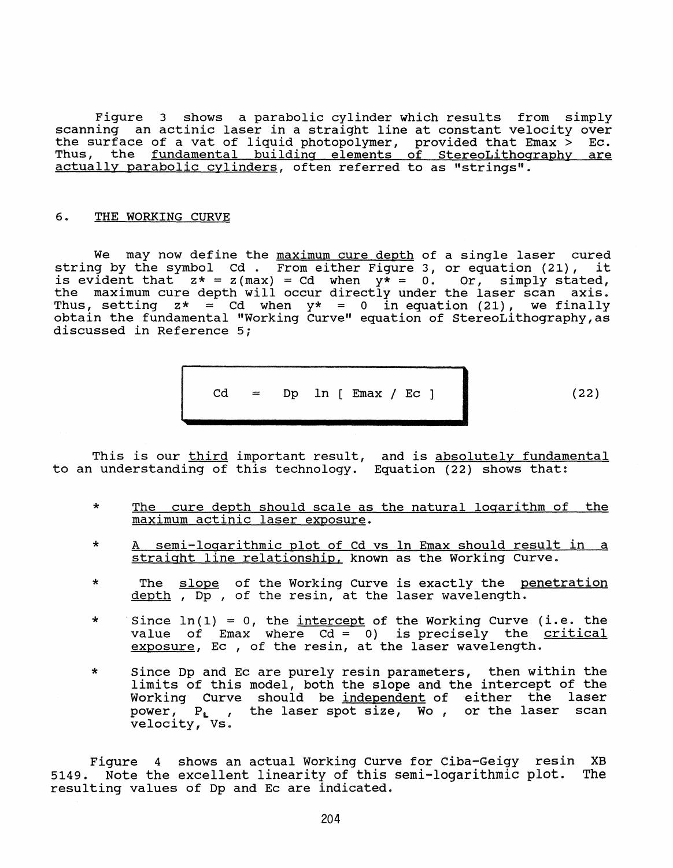Figure 3 shows a parabolic cylinder which results from simply scanning an actinic laser in <sup>a</sup> straight line at constant velocity over the surface of a vat of liquid photopolymer, provided that Emax  $>$  Ec. Thus, the fundamental building elements of StereoLithography are actually parabolic cylinders, often referred to as "strings".

# 6. THE WORKING CURVE

We may now define the maximum cure depth of a single laser cured<br>g by the symbol Cd . From either Figure 3, or equation (21), it string by the symbol  $Cd$ . From either Figure 3, or equation (21), is evident that  $z* = z(max) = cd$  when  $y* = 0$ . Or, simply stated, the maximum cure depth will occur directly under the laser scan axis. Thus, setting  $z* = Cd$  when  $y* = 0$  in equation (21), we finally obtain the fundamental "Working Curve" equation of StereoLithography,as discussed in Reference 5;

$$
cd = Dp \ln [Emax / Ec ]
$$

(22)

This is our <u>third</u> important result, to an understanding of this technology. and is absolutely fundamental Equation (22) shows that:

- \* The cure depth should scale as the natural logarithm of the maximum actinic laser exposure.
- \* A semi-logarithmic plot of Cd vs In Emax should result in <sup>a</sup> straight line relationship. known as the working Curve.
- \* The slope of the Working Curve is exactly the penetration depth, Dp, of the resin, at the laser wavelength.
- \* Since In(l) <sup>=</sup> 0, the intercept of the Working Curve (i.e. the value of Emax where  $Cd = 0$ ) is precisely the critical exposure, Ec , of the resin, at the laser wavelength.
- \* Since Dp and Ec are purely resin parameters, then within the bince by and he are parely resin parameters, then wrenth the<br>limits of this model, both the slope and the intercept of the Working Curve should be independent of either the laser power,  $P_L$ , the laser spot size, Wo, or the laser scan velocity, Vs.

Figure 4 shows an actual Working Curve for Ciba-Geigy resin XB 5149. Note the excellent linearity of this semi-logarithmic plot. The resulting values of Dp and Ec are indicated.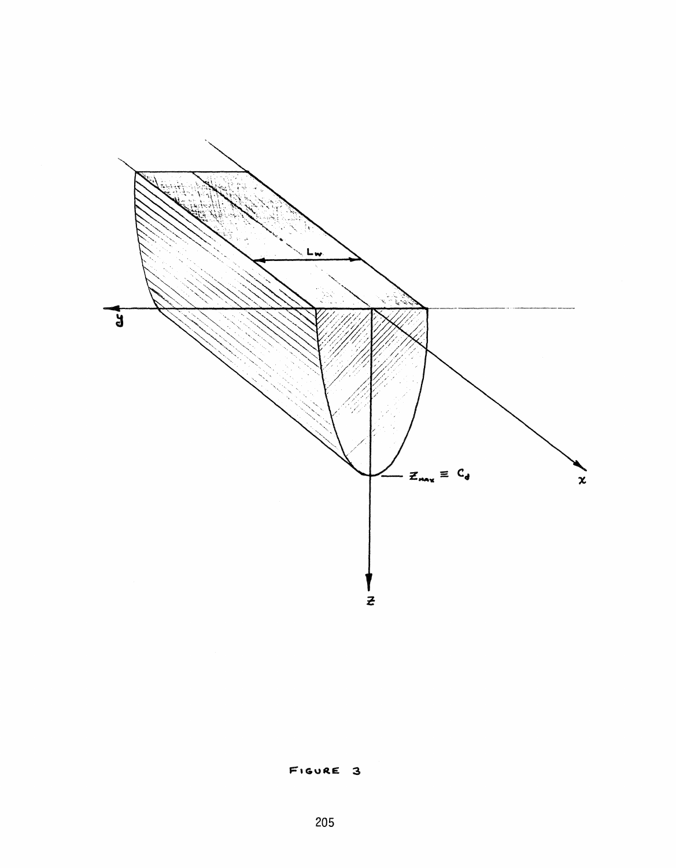

FIGURE 3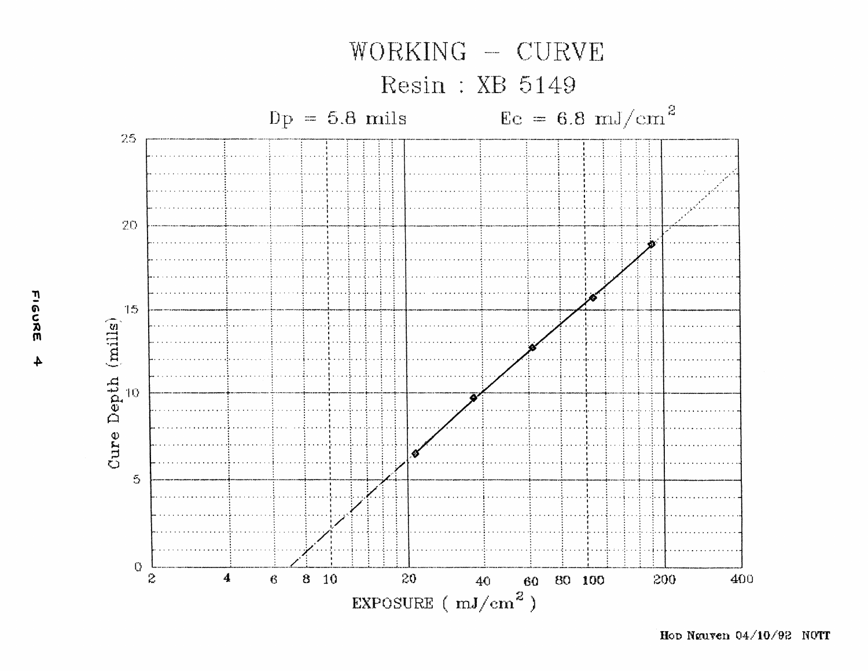

Hop Nguyen 04/10/92 NOTT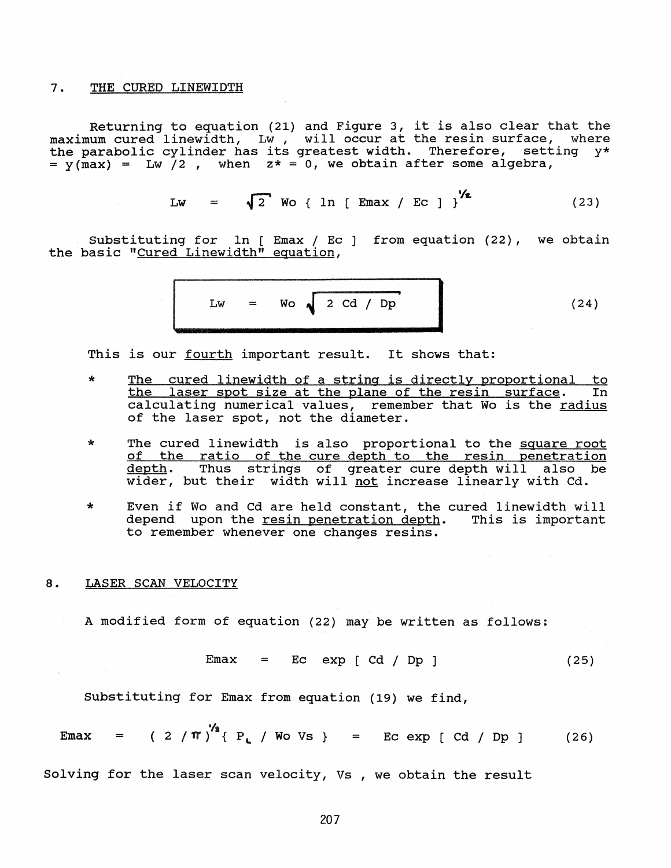### 7. THE CURED LINEWIDTH

Returning to equation (21) and Figure 3, it is also clear that the maximum cured linewidth, Lw, will occur at the resin surface, where the parabolic cylinder has its greatest width. Therefore, setting  $y* = y(max) = LW /2$ , when  $z* = 0$ , we obtain after some algebra,

$$
Lw = \sqrt{2} \text{ Wo} \{ ln [Emax / Ec ] \}^{\frac{1}{2}}
$$
 (23)

Substituting for ln [ Emax / Ec ] from equation (22), we obtain the basic "Cured Linewidth" equation,

$$
Lw = Wo \sqrt{2 Cd / Dp}
$$
 (24)

This is our fourth important result. It shows that:

- \* The cured linewidth of a string is directly proportional to<br>the laser spot size at the plane of the resin surface. In the laser spot size at the plane of the resin surface. calculating numerical values, remember that Wo is the radius of the laser spot, not the diameter.
- \* The cured linewidth is also proportional to the square root of the ratio of the cure depth to the resin penetration depth. Thus strings of greater cure depth will also be <u>wepen</u>. Thus scrings of greater cure depth with diso<br>wider, but their width will <u>not</u> increase linearly with Cd.
- \* Even if Wo and Cd are held constant, the cured linewidth will depend upon the resin penetration depth. This is important to remember whenever one changes resins.

### 8. LASER SCAN VELOCITY

A modified form of equation (22) may be written as follows:

$$
Emax = Ec exp [Cd / Dp ] \qquad (25)
$$

SUbstituting for Emax from equation (19) we find,

$$
Emax = (2/\pi)^{1/2} \{ P_L / W \text{ of } V \text{ is } \} = E \text{ of } \text{exp} [C \text{d} / Dp ]
$$
 (26)

Solving for the laser scan velocity, Vs , we obtain the result

207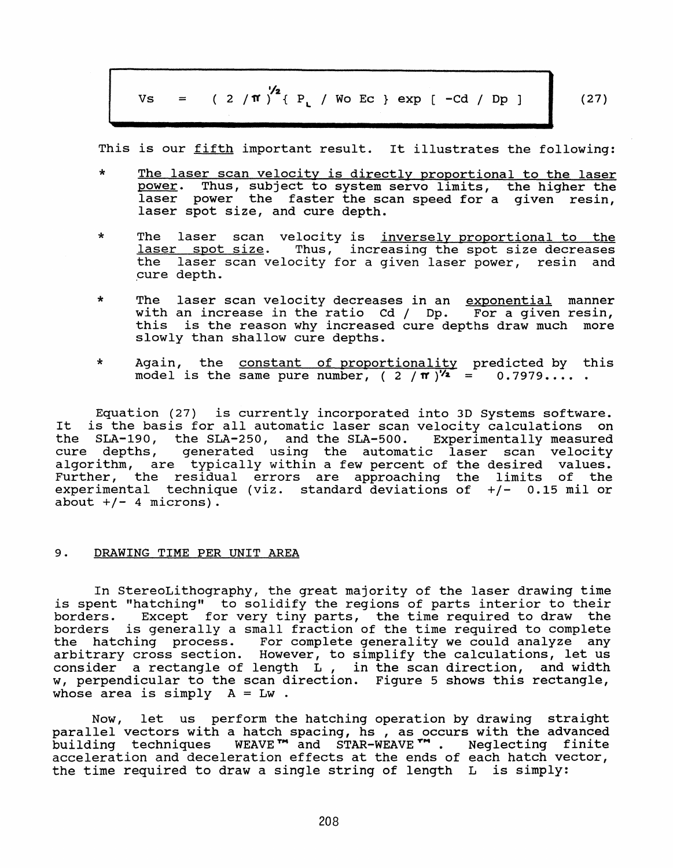$$
Vs = (2/\pi)^{2/2} \{ P_L / Wo Ec \} exp [-cd / Dp ]
$$
 (27)

This is our fifth important result. It illustrates the following:

- \* The laser scan velocity is directly proportional to the laser power. Thus, sUbject to system servo limits, the higher the laser power the faster the scan speed for <sup>a</sup> given resin, laser spot size, and cure depth.
- \* The laser scan velocity is <u>inversely proportional to the</u><br>laser spot size. Thus, increasing the spot size decreases Thus, increasing the spot size decreases the laser scan velocity for <sup>a</sup> given laser power, resin and ,cure depth.
- \* The laser scan velocity decreases in an exponential manner with an increase in the ratio Cd / Dp. For a given resin, this is the reason why increased cure depths draw much more slowly than shallow cure depths.
- \* Again, the constant of proportionality predicted by this<br>model is the same pure number (2/m)<sup>1</sup>/2 = 0.7979 Again, the <u>constant of proportionality</u> predicted by<br>model is the same pure number, ( 2 / <mark>11</mark> )  $\frac{1}{2}$  = 0.7979....

Equation (27) is currently incorporated into 3D Systems software. It is the basis for all automatic laser scan velocity calculations on the SLA-190, the SLA-250, and the SLA-500. Experimentally measured<br>cure depths, generated using the automatic laser scan velocity generated using the automatic laser scan velocity algorithm, are typically within a few percent of the desired values. Further, the residual errors are approaching the limits of the experimental technique (viz. standard deviations of *+j-* 0.15 mil or about  $+/-$  4 microns).

### 9. DRAWING TIME PER UNIT AREA

In StereoLithography, the great majority of the laser drawing time is spent "hatching" to solidify the regions of parts interior to their<br>borders. Except for very tiny parts, the time required to draw the Except for very tiny parts, the time required to draw the borders is generally <sup>a</sup> small fraction of the time required to complete the hatching process. For complete generality we could analyze any arbitrary cross section. However, to simplify the calculations, let us consider <sup>a</sup> rectangle of length L, in the scan direction, and width w, perpendicular to the scan direction. Figure <sup>5</sup> shows this rectangle, whose area is simply  $A = LW$ .

Now, let us perform the hatching operation by drawing straight parallel vectors with <sup>a</sup> hatch spacing, hs , as occurs with the advanced building techniques WEAVE<sup>TM</sup> and STAR-WEAVE<sup>TM</sup>. Neglecting finite acceleration and deceleration effects at the ends of each hatch vector, the time required to draw a single string of length L is simply: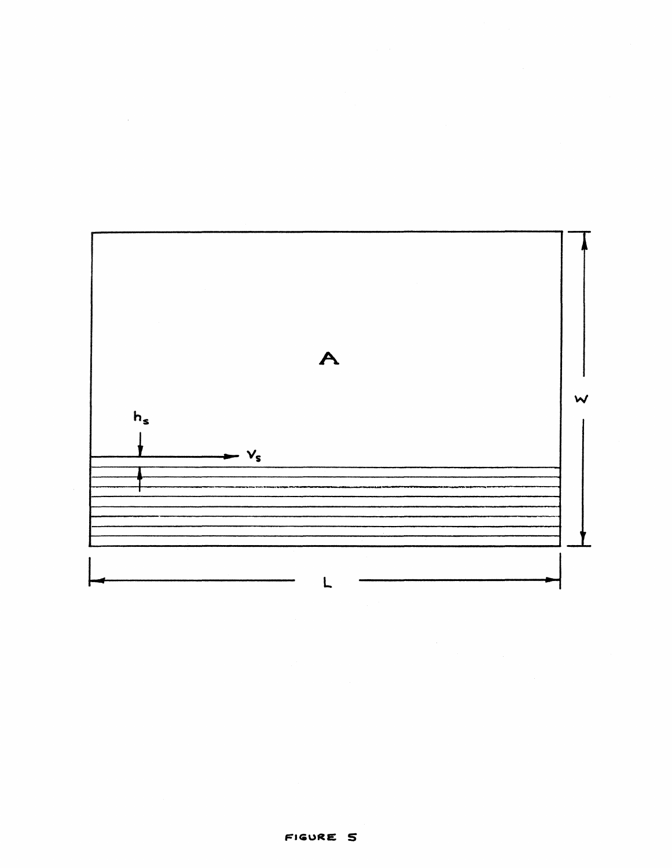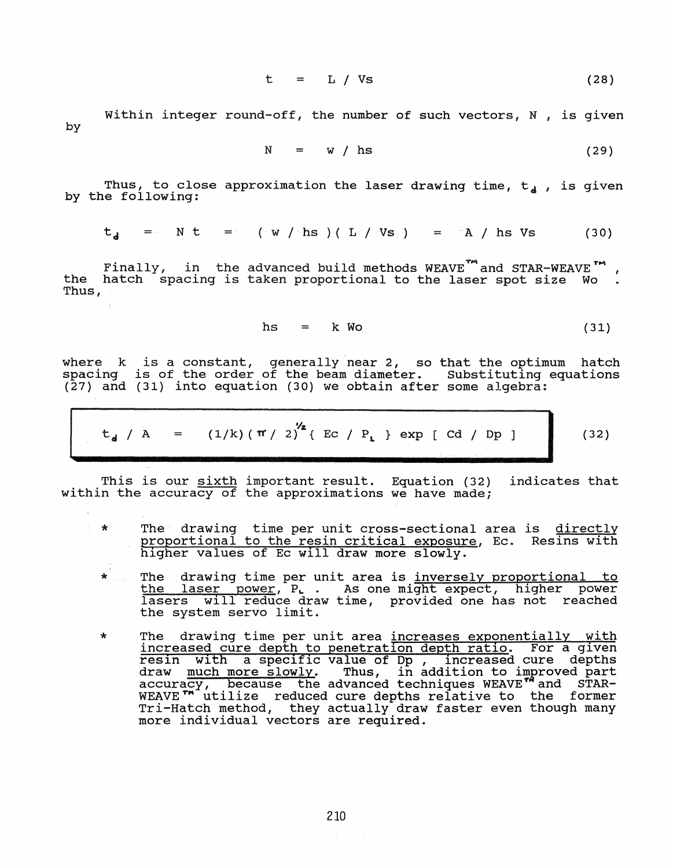$$
t = L / Vs \qquad (28)
$$

by Within integer round-off, the number of such vectors,  $N$ , is given

$$
N = w / hs
$$
 (29)

Thus, to close approximation the laser drawing time,  $t_d$ , is given by the following:

$$
t_{d} = N t \cdot t = (W / h s) (L / vs) = A / h s \text{ vs} \tag{30}
$$

Finally, in the advanced build methods  $WEXVET^m$  and  $STAR-WEAVE^m$ , the hatch spacing is taken proportional to the laser spot size Wo. Thus,

$$
hs = k Wo
$$
 (31)

where k is a constant, generally near 2, so that the optimum hatch where  $\kappa$  is a constant, generally near 2, so that the optimum inatch (27) and (31) into equation (30) we obtain after some algebra:

$$
t_{d} / A = (1/k) (\pi / 2)^{1/2} \{ Ec / P_{L} \} exp [cd / Dp ]
$$
 (32)

This is our <u>sixth</u> important result. Equation (32) indicates that within the accuracy of the approximations we have made;

- \* The drawing time per unit cross-sectional area is directly proportional to the resin critical exposure, Ec. Resins with higher values of Ec will draw more slowly.
- \* The drawing time per unit area is inversely proportional to the laser power, P. . As one might expect, higher power<br>lasers will reduce draw time, provided one has not reached will reduce draw time, provided one has not reached the system servo limit.
- \* The drawing time per unit area increases exponentially with increased cure depth to penetration depth ratio. For a given reS1n with a specific value of **Dp,** increased cure depths draw much more slowly. Thus, in addition to improved part accuracy, because the advanced techniques WEAVE<sup>TA</sup> and STAR-WEAVE<sup>T</sup> utilize reduced cure depths relative to the former Winvie activize readed care depens reflective to the former more individual vectors are required.